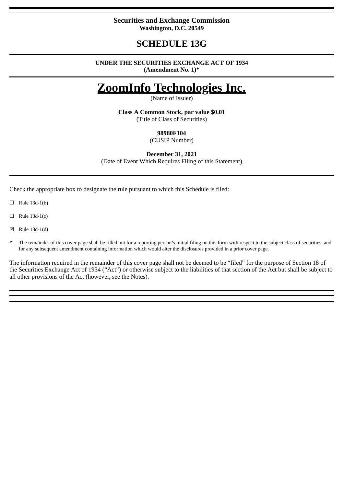## **Securities and Exchange Commission Washington, D.C. 20549**

## **SCHEDULE 13G**

#### **UNDER THE SECURITIES EXCHANGE ACT OF 1934 (Amendment No. 1)\***

# **ZoomInfo Technologies Inc.**

(Name of Issuer)

**Class A Common Stock, par value \$0.01**

(Title of Class of Securities)

## **98980F104**

(CUSIP Number)

**December 31, 2021**

(Date of Event Which Requires Filing of this Statement)

Check the appropriate box to designate the rule pursuant to which this Schedule is filed:

 $\Box$  Rule 13d-1(b)

 $\Box$  Rule 13d-1(c)

☒ Rule 13d-1(d)

The remainder of this cover page shall be filled out for a reporting person's initial filing on this form with respect to the subject class of securities, and for any subsequent amendment containing information which would alter the disclosures provided in a prior cover page.

The information required in the remainder of this cover page shall not be deemed to be "filed" for the purpose of Section 18 of the Securities Exchange Act of 1934 ("Act") or otherwise subject to the liabilities of that section of the Act but shall be subject to all other provisions of the Act (however, see the Notes).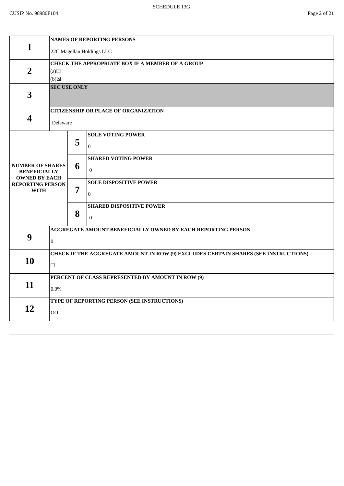|                                                 | <b>NAMES OF REPORTING PERSONS</b>                                                   |                |                                             |  |  |  |
|-------------------------------------------------|-------------------------------------------------------------------------------------|----------------|---------------------------------------------|--|--|--|
| 1                                               | 22C Magellan Holdings LLC                                                           |                |                                             |  |  |  |
|                                                 | <b>CHECK THE APPROPRIATE BOX IF A MEMBER OF A GROUP</b>                             |                |                                             |  |  |  |
| $\overline{2}$                                  | (a)                                                                                 |                |                                             |  |  |  |
|                                                 | (b)                                                                                 |                |                                             |  |  |  |
| $\overline{\mathbf{3}}$                         | <b>SEC USE ONLY</b>                                                                 |                |                                             |  |  |  |
|                                                 |                                                                                     |                | <b>CITIZENSHIP OR PLACE OF ORGANIZATION</b> |  |  |  |
| 4                                               | Delaware                                                                            |                |                                             |  |  |  |
|                                                 |                                                                                     |                | <b>SOLE VOTING POWER</b>                    |  |  |  |
|                                                 |                                                                                     | 5              | $\bf{0}$                                    |  |  |  |
|                                                 |                                                                                     |                | <b>SHARED VOTING POWER</b>                  |  |  |  |
| <b>NUMBER OF SHARES</b><br><b>BENEFICIALLY</b>  |                                                                                     | 6              | $\boldsymbol{0}$                            |  |  |  |
| <b>OWNED BY EACH</b><br><b>REPORTING PERSON</b> |                                                                                     |                | <b>SOLE DISPOSITIVE POWER</b>               |  |  |  |
| <b>WITH</b>                                     |                                                                                     | $\overline{7}$ | $\mathbf{0}$                                |  |  |  |
|                                                 |                                                                                     |                | <b>SHARED DISPOSITIVE POWER</b>             |  |  |  |
|                                                 |                                                                                     | 8              | $\boldsymbol{0}$                            |  |  |  |
|                                                 | AGGREGATE AMOUNT BENEFICIALLY OWNED BY EACH REPORTING PERSON                        |                |                                             |  |  |  |
| 9                                               | $\mathbf{0}$                                                                        |                |                                             |  |  |  |
|                                                 | CHECK IF THE AGGREGATE AMOUNT IN ROW (9) EXCLUDES CERTAIN SHARES (SEE INSTRUCTIONS) |                |                                             |  |  |  |
| 10                                              | $\Box$                                                                              |                |                                             |  |  |  |
|                                                 | PERCENT OF CLASS REPRESENTED BY AMOUNT IN ROW (9)                                   |                |                                             |  |  |  |
| 11                                              | $0.0\%$                                                                             |                |                                             |  |  |  |
|                                                 |                                                                                     |                | TYPE OF REPORTING PERSON (SEE INSTRUCTIONS) |  |  |  |
| 12                                              | O <sub>O</sub>                                                                      |                |                                             |  |  |  |
|                                                 |                                                                                     |                |                                             |  |  |  |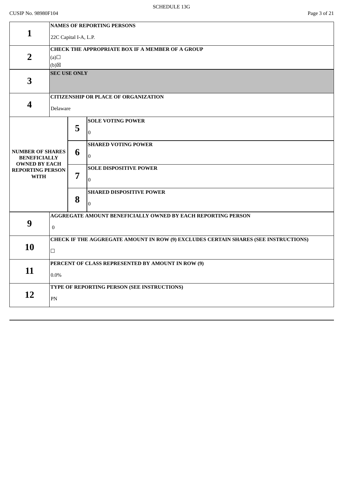## CUSIP No. 98980F104 Page 3 of 21

|                                                                        | <b>NAMES OF REPORTING PERSONS</b>                            |                                                                                     |                                                   |  |  |  |  |
|------------------------------------------------------------------------|--------------------------------------------------------------|-------------------------------------------------------------------------------------|---------------------------------------------------|--|--|--|--|
| $\mathbf{1}$                                                           | 22C Capital I-A, L.P.                                        |                                                                                     |                                                   |  |  |  |  |
|                                                                        | <b>CHECK THE APPROPRIATE BOX IF A MEMBER OF A GROUP</b>      |                                                                                     |                                                   |  |  |  |  |
| $\overline{2}$                                                         | (a)                                                          |                                                                                     |                                                   |  |  |  |  |
|                                                                        | (b)                                                          |                                                                                     |                                                   |  |  |  |  |
| 3                                                                      |                                                              | <b>SEC USE ONLY</b>                                                                 |                                                   |  |  |  |  |
|                                                                        |                                                              |                                                                                     |                                                   |  |  |  |  |
|                                                                        |                                                              |                                                                                     | <b>CITIZENSHIP OR PLACE OF ORGANIZATION</b>       |  |  |  |  |
| 4                                                                      | Delaware                                                     |                                                                                     |                                                   |  |  |  |  |
|                                                                        |                                                              |                                                                                     | <b>SOLE VOTING POWER</b>                          |  |  |  |  |
|                                                                        |                                                              | 5                                                                                   | $\mathbf{0}$                                      |  |  |  |  |
|                                                                        |                                                              |                                                                                     |                                                   |  |  |  |  |
|                                                                        |                                                              |                                                                                     | <b>SHARED VOTING POWER</b>                        |  |  |  |  |
| <b>NUMBER OF SHARES</b><br><b>BENEFICIALLY</b><br><b>OWNED BY EACH</b> |                                                              | 6                                                                                   | $\boldsymbol{0}$                                  |  |  |  |  |
| <b>REPORTING PERSON</b>                                                |                                                              |                                                                                     | <b>SOLE DISPOSITIVE POWER</b>                     |  |  |  |  |
| <b>WITH</b>                                                            |                                                              | 7                                                                                   | $\Omega$                                          |  |  |  |  |
|                                                                        |                                                              |                                                                                     | <b>SHARED DISPOSITIVE POWER</b>                   |  |  |  |  |
|                                                                        |                                                              | 8                                                                                   | $\mathbf 0$                                       |  |  |  |  |
|                                                                        |                                                              |                                                                                     |                                                   |  |  |  |  |
|                                                                        | AGGREGATE AMOUNT BENEFICIALLY OWNED BY EACH REPORTING PERSON |                                                                                     |                                                   |  |  |  |  |
| 9                                                                      | $\overline{0}$                                               |                                                                                     |                                                   |  |  |  |  |
|                                                                        |                                                              | CHECK IF THE AGGREGATE AMOUNT IN ROW (9) EXCLUDES CERTAIN SHARES (SEE INSTRUCTIONS) |                                                   |  |  |  |  |
| 10                                                                     | $\Box$                                                       |                                                                                     |                                                   |  |  |  |  |
|                                                                        |                                                              |                                                                                     |                                                   |  |  |  |  |
|                                                                        |                                                              |                                                                                     | PERCENT OF CLASS REPRESENTED BY AMOUNT IN ROW (9) |  |  |  |  |
| 11                                                                     | $0.0\%$                                                      |                                                                                     |                                                   |  |  |  |  |
|                                                                        |                                                              |                                                                                     | TYPE OF REPORTING PERSON (SEE INSTRUCTIONS)       |  |  |  |  |
| 12                                                                     | PN                                                           |                                                                                     |                                                   |  |  |  |  |
|                                                                        |                                                              |                                                                                     |                                                   |  |  |  |  |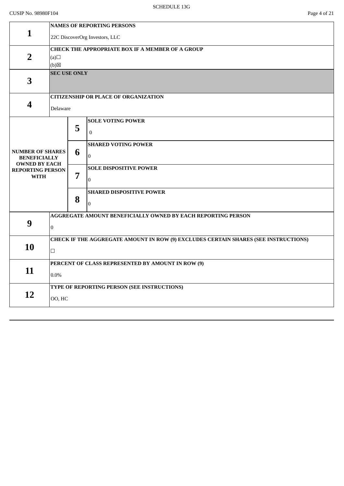|                                                | <b>NAMES OF REPORTING PERSONS</b>                                                   |                                                  |                                                              |  |  |  |
|------------------------------------------------|-------------------------------------------------------------------------------------|--------------------------------------------------|--------------------------------------------------------------|--|--|--|
| $\mathbf{1}$                                   | 22C DiscoverOrg Investors, LLC                                                      |                                                  |                                                              |  |  |  |
|                                                |                                                                                     | CHECK THE APPROPRIATE BOX IF A MEMBER OF A GROUP |                                                              |  |  |  |
| $\overline{2}$                                 | (a)                                                                                 |                                                  |                                                              |  |  |  |
|                                                | (b)<br><b>SEC USE ONLY</b>                                                          |                                                  |                                                              |  |  |  |
| 3                                              |                                                                                     |                                                  |                                                              |  |  |  |
|                                                |                                                                                     |                                                  |                                                              |  |  |  |
|                                                |                                                                                     |                                                  | <b>CITIZENSHIP OR PLACE OF ORGANIZATION</b>                  |  |  |  |
| $\boldsymbol{4}$                               | Delaware                                                                            |                                                  |                                                              |  |  |  |
|                                                |                                                                                     |                                                  | <b>SOLE VOTING POWER</b>                                     |  |  |  |
|                                                |                                                                                     | 5                                                | $\Omega$                                                     |  |  |  |
|                                                |                                                                                     |                                                  | <b>SHARED VOTING POWER</b>                                   |  |  |  |
| <b>NUMBER OF SHARES</b><br><b>BENEFICIALLY</b> |                                                                                     | 6                                                | $\boldsymbol{0}$                                             |  |  |  |
| <b>OWNED BY EACH</b>                           |                                                                                     |                                                  | <b>SOLE DISPOSITIVE POWER</b>                                |  |  |  |
| <b>REPORTING PERSON</b><br><b>WITH</b>         |                                                                                     | 7                                                |                                                              |  |  |  |
|                                                |                                                                                     |                                                  | $\Omega$                                                     |  |  |  |
|                                                |                                                                                     |                                                  | <b>SHARED DISPOSITIVE POWER</b>                              |  |  |  |
|                                                |                                                                                     | 8                                                | $\boldsymbol{0}$                                             |  |  |  |
|                                                |                                                                                     |                                                  | AGGREGATE AMOUNT BENEFICIALLY OWNED BY EACH REPORTING PERSON |  |  |  |
| 9                                              | $\overline{0}$                                                                      |                                                  |                                                              |  |  |  |
|                                                | CHECK IF THE AGGREGATE AMOUNT IN ROW (9) EXCLUDES CERTAIN SHARES (SEE INSTRUCTIONS) |                                                  |                                                              |  |  |  |
| 10                                             | $\Box$                                                                              |                                                  |                                                              |  |  |  |
|                                                |                                                                                     |                                                  |                                                              |  |  |  |
| 11                                             |                                                                                     |                                                  | PERCENT OF CLASS REPRESENTED BY AMOUNT IN ROW (9)            |  |  |  |
|                                                |                                                                                     | 0.0%                                             |                                                              |  |  |  |
|                                                |                                                                                     |                                                  | TYPE OF REPORTING PERSON (SEE INSTRUCTIONS)                  |  |  |  |
| 12                                             | OO, HC                                                                              |                                                  |                                                              |  |  |  |
|                                                |                                                                                     |                                                  |                                                              |  |  |  |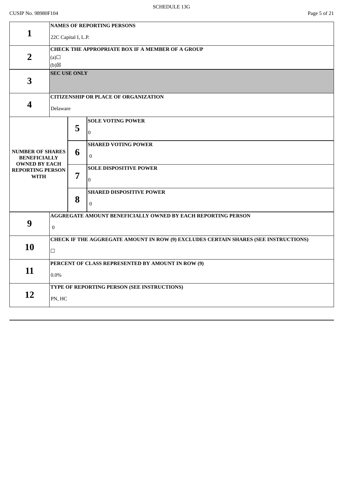## CUSIP No. 98980F104 Page 5 of 21

|                                                                        | <b>NAMES OF REPORTING PERSONS</b>                                                             |                                                  |                                                |  |  |  |
|------------------------------------------------------------------------|-----------------------------------------------------------------------------------------------|--------------------------------------------------|------------------------------------------------|--|--|--|
| 1                                                                      | 22C Capital I, L.P.                                                                           |                                                  |                                                |  |  |  |
| $\overline{2}$                                                         | (a)<br>(b)                                                                                    | CHECK THE APPROPRIATE BOX IF A MEMBER OF A GROUP |                                                |  |  |  |
| 3                                                                      |                                                                                               | <b>SEC USE ONLY</b>                              |                                                |  |  |  |
| 4                                                                      | Delaware                                                                                      |                                                  | <b>CITIZENSHIP OR PLACE OF ORGANIZATION</b>    |  |  |  |
|                                                                        |                                                                                               | 5                                                | <b>SOLE VOTING POWER</b><br>$\mathbf{0}$       |  |  |  |
| <b>NUMBER OF SHARES</b><br><b>BENEFICIALLY</b><br><b>OWNED BY EACH</b> |                                                                                               | 6                                                | <b>SHARED VOTING POWER</b><br>$\mathbf{0}$     |  |  |  |
| <b>REPORTING PERSON</b><br><b>WITH</b>                                 |                                                                                               | 7                                                | <b>SOLE DISPOSITIVE POWER</b><br>$\mathbf{0}$  |  |  |  |
|                                                                        |                                                                                               | 8                                                | <b>SHARED DISPOSITIVE POWER</b><br>$\mathbf 0$ |  |  |  |
| 9                                                                      | AGGREGATE AMOUNT BENEFICIALLY OWNED BY EACH REPORTING PERSON<br>$\overline{0}$                |                                                  |                                                |  |  |  |
| 10                                                                     | CHECK IF THE AGGREGATE AMOUNT IN ROW (9) EXCLUDES CERTAIN SHARES (SEE INSTRUCTIONS)<br>$\Box$ |                                                  |                                                |  |  |  |
| 11                                                                     | PERCENT OF CLASS REPRESENTED BY AMOUNT IN ROW (9)<br>$0.0\%$                                  |                                                  |                                                |  |  |  |
| 12                                                                     | PN, HC                                                                                        |                                                  | TYPE OF REPORTING PERSON (SEE INSTRUCTIONS)    |  |  |  |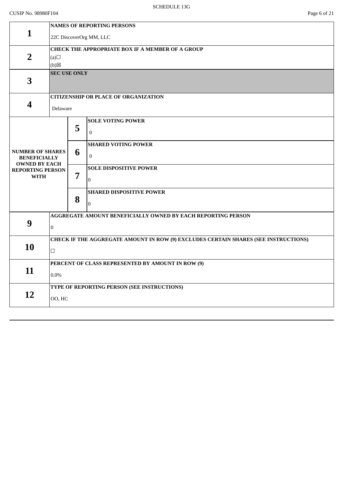|                                                                        | <b>NAMES OF REPORTING PERSONS</b>                                                   |                                                  |                                             |  |  |  |
|------------------------------------------------------------------------|-------------------------------------------------------------------------------------|--------------------------------------------------|---------------------------------------------|--|--|--|
| $\mathbf{1}$                                                           | 22C DiscoverOrg MM, LLC                                                             |                                                  |                                             |  |  |  |
|                                                                        |                                                                                     | CHECK THE APPROPRIATE BOX IF A MEMBER OF A GROUP |                                             |  |  |  |
| $\overline{2}$                                                         | (a)                                                                                 |                                                  |                                             |  |  |  |
|                                                                        | $(b)$ $\boxtimes$                                                                   |                                                  |                                             |  |  |  |
| 3                                                                      |                                                                                     | <b>SEC USE ONLY</b>                              |                                             |  |  |  |
|                                                                        |                                                                                     |                                                  | <b>CITIZENSHIP OR PLACE OF ORGANIZATION</b> |  |  |  |
| 4                                                                      | Delaware                                                                            |                                                  |                                             |  |  |  |
|                                                                        |                                                                                     |                                                  | <b>SOLE VOTING POWER</b>                    |  |  |  |
|                                                                        |                                                                                     | 5                                                | $\mathbf{0}$                                |  |  |  |
|                                                                        |                                                                                     |                                                  | <b>SHARED VOTING POWER</b>                  |  |  |  |
| <b>NUMBER OF SHARES</b><br><b>BENEFICIALLY</b><br><b>OWNED BY EACH</b> |                                                                                     | 6                                                | $\mathbf{0}$                                |  |  |  |
| <b>REPORTING PERSON</b>                                                |                                                                                     |                                                  | <b>SOLE DISPOSITIVE POWER</b>               |  |  |  |
| <b>WITH</b>                                                            |                                                                                     | 7                                                | $\Omega$                                    |  |  |  |
|                                                                        |                                                                                     |                                                  | <b>SHARED DISPOSITIVE POWER</b>             |  |  |  |
|                                                                        |                                                                                     | 8                                                | $\mathbf 0$                                 |  |  |  |
|                                                                        | AGGREGATE AMOUNT BENEFICIALLY OWNED BY EACH REPORTING PERSON                        |                                                  |                                             |  |  |  |
| 9                                                                      | $\overline{0}$                                                                      |                                                  |                                             |  |  |  |
|                                                                        | CHECK IF THE AGGREGATE AMOUNT IN ROW (9) EXCLUDES CERTAIN SHARES (SEE INSTRUCTIONS) |                                                  |                                             |  |  |  |
| 10                                                                     | $\Box$                                                                              |                                                  |                                             |  |  |  |
|                                                                        | PERCENT OF CLASS REPRESENTED BY AMOUNT IN ROW (9)                                   |                                                  |                                             |  |  |  |
| 11                                                                     | 0.0%                                                                                |                                                  |                                             |  |  |  |
|                                                                        |                                                                                     |                                                  | TYPE OF REPORTING PERSON (SEE INSTRUCTIONS) |  |  |  |
| 12                                                                     | OO, HC                                                                              |                                                  |                                             |  |  |  |
|                                                                        |                                                                                     |                                                  |                                             |  |  |  |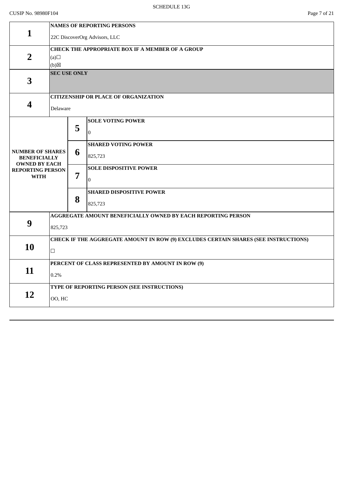|                                                                        | <b>NAMES OF REPORTING PERSONS</b>                                                                                          |                     |                                             |  |  |  |
|------------------------------------------------------------------------|----------------------------------------------------------------------------------------------------------------------------|---------------------|---------------------------------------------|--|--|--|
| 1                                                                      |                                                                                                                            |                     | 22C DiscoverOrg Advisors, LLC               |  |  |  |
|                                                                        | CHECK THE APPROPRIATE BOX IF A MEMBER OF A GROUP                                                                           |                     |                                             |  |  |  |
| $\overline{2}$                                                         | (a)                                                                                                                        |                     |                                             |  |  |  |
|                                                                        | (b)                                                                                                                        |                     |                                             |  |  |  |
| 3                                                                      |                                                                                                                            | <b>SEC USE ONLY</b> |                                             |  |  |  |
|                                                                        |                                                                                                                            |                     | <b>CITIZENSHIP OR PLACE OF ORGANIZATION</b> |  |  |  |
| $\overline{\mathbf{4}}$                                                | Delaware                                                                                                                   |                     |                                             |  |  |  |
|                                                                        |                                                                                                                            |                     | <b>SOLE VOTING POWER</b>                    |  |  |  |
|                                                                        |                                                                                                                            |                     | $\Omega$                                    |  |  |  |
|                                                                        |                                                                                                                            |                     | <b>SHARED VOTING POWER</b>                  |  |  |  |
| <b>BENEFICIALLY</b>                                                    |                                                                                                                            |                     | 825,723                                     |  |  |  |
| <b>REPORTING PERSON</b>                                                |                                                                                                                            |                     | <b>SOLE DISPOSITIVE POWER</b>               |  |  |  |
| <b>WITH</b>                                                            |                                                                                                                            |                     | $\mathbf{0}$                                |  |  |  |
|                                                                        |                                                                                                                            | 8                   | <b>SHARED DISPOSITIVE POWER</b>             |  |  |  |
|                                                                        |                                                                                                                            |                     | 825,723                                     |  |  |  |
|                                                                        |                                                                                                                            |                     |                                             |  |  |  |
|                                                                        | 825,723                                                                                                                    |                     |                                             |  |  |  |
|                                                                        | CHECK IF THE AGGREGATE AMOUNT IN ROW (9) EXCLUDES CERTAIN SHARES (SEE INSTRUCTIONS)                                        |                     |                                             |  |  |  |
|                                                                        | $\Box$                                                                                                                     |                     |                                             |  |  |  |
|                                                                        | PERCENT OF CLASS REPRESENTED BY AMOUNT IN ROW (9)                                                                          |                     |                                             |  |  |  |
|                                                                        | 0.2%                                                                                                                       |                     |                                             |  |  |  |
|                                                                        |                                                                                                                            |                     |                                             |  |  |  |
|                                                                        |                                                                                                                            | OO, HC              |                                             |  |  |  |
| <b>NUMBER OF SHARES</b><br><b>OWNED BY EACH</b><br>9<br>10<br>11<br>12 | 5<br>6<br>7<br>AGGREGATE AMOUNT BENEFICIALLY OWNED BY EACH REPORTING PERSON<br>TYPE OF REPORTING PERSON (SEE INSTRUCTIONS) |                     |                                             |  |  |  |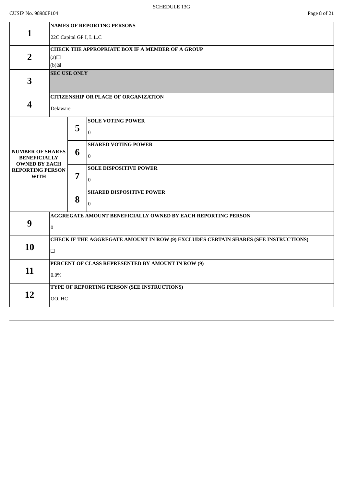## CUSIP No. 98980F104 Page 8 of 21

|                                                                        | <b>NAMES OF REPORTING PERSONS</b>                                                             |                                                  |                                                   |  |  |  |
|------------------------------------------------------------------------|-----------------------------------------------------------------------------------------------|--------------------------------------------------|---------------------------------------------------|--|--|--|
| 1                                                                      | 22C Capital GP I, L.L.C                                                                       |                                                  |                                                   |  |  |  |
| $\overline{2}$                                                         | (a)<br>(b)                                                                                    | CHECK THE APPROPRIATE BOX IF A MEMBER OF A GROUP |                                                   |  |  |  |
| 3                                                                      |                                                                                               | <b>SEC USE ONLY</b>                              |                                                   |  |  |  |
| 4                                                                      | Delaware                                                                                      |                                                  | <b>CITIZENSHIP OR PLACE OF ORGANIZATION</b>       |  |  |  |
|                                                                        |                                                                                               | 5                                                | <b>SOLE VOTING POWER</b><br>$\Omega$              |  |  |  |
| <b>NUMBER OF SHARES</b><br><b>BENEFICIALLY</b><br><b>OWNED BY EACH</b> |                                                                                               | 6                                                | <b>SHARED VOTING POWER</b><br>$\bf{0}$            |  |  |  |
| <b>REPORTING PERSON</b><br><b>WITH</b>                                 |                                                                                               | 7                                                | <b>SOLE DISPOSITIVE POWER</b><br>$\bf{0}$         |  |  |  |
|                                                                        |                                                                                               | 8                                                | <b>SHARED DISPOSITIVE POWER</b><br>$\overline{0}$ |  |  |  |
| 9                                                                      | AGGREGATE AMOUNT BENEFICIALLY OWNED BY EACH REPORTING PERSON<br>$\bf{0}$                      |                                                  |                                                   |  |  |  |
| 10                                                                     | CHECK IF THE AGGREGATE AMOUNT IN ROW (9) EXCLUDES CERTAIN SHARES (SEE INSTRUCTIONS)<br>$\Box$ |                                                  |                                                   |  |  |  |
| 11                                                                     | PERCENT OF CLASS REPRESENTED BY AMOUNT IN ROW (9)<br>$0.0\%$                                  |                                                  |                                                   |  |  |  |
| 12                                                                     | OO, HC                                                                                        |                                                  | TYPE OF REPORTING PERSON (SEE INSTRUCTIONS)       |  |  |  |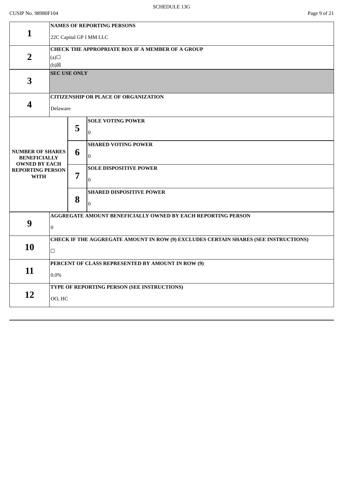| <b>NAMES OF REPORTING PERSONS</b>                                                   |                                                        |                                                |  |  |
|-------------------------------------------------------------------------------------|--------------------------------------------------------|------------------------------------------------|--|--|
| 22C Capital GP I MM LLC                                                             |                                                        |                                                |  |  |
| <b>CHECK THE APPROPRIATE BOX IF A MEMBER OF A GROUP</b>                             |                                                        |                                                |  |  |
| (a)                                                                                 |                                                        |                                                |  |  |
| (b)                                                                                 |                                                        |                                                |  |  |
|                                                                                     |                                                        |                                                |  |  |
|                                                                                     |                                                        |                                                |  |  |
|                                                                                     |                                                        | <b>CITIZENSHIP OR PLACE OF ORGANIZATION</b>    |  |  |
|                                                                                     |                                                        |                                                |  |  |
|                                                                                     |                                                        | <b>SOLE VOTING POWER</b>                       |  |  |
|                                                                                     |                                                        | $\Omega$                                       |  |  |
|                                                                                     |                                                        | <b>SHARED VOTING POWER</b>                     |  |  |
| <b>NUMBER OF SHARES</b>                                                             | 6                                                      | $\boldsymbol{0}$                               |  |  |
| <b>OWNED BY EACH</b>                                                                |                                                        | <b>SOLE DISPOSITIVE POWER</b>                  |  |  |
|                                                                                     |                                                        |                                                |  |  |
|                                                                                     |                                                        | $\mathbf{0}$                                   |  |  |
|                                                                                     |                                                        | <b>SHARED DISPOSITIVE POWER</b>                |  |  |
|                                                                                     |                                                        | $\mathbf 0$                                    |  |  |
| AGGREGATE AMOUNT BENEFICIALLY OWNED BY EACH REPORTING PERSON                        |                                                        |                                                |  |  |
| $\overline{0}$                                                                      |                                                        |                                                |  |  |
| CHECK IF THE AGGREGATE AMOUNT IN ROW (9) EXCLUDES CERTAIN SHARES (SEE INSTRUCTIONS) |                                                        |                                                |  |  |
| $\Box$                                                                              |                                                        |                                                |  |  |
| PERCENT OF CLASS REPRESENTED BY AMOUNT IN ROW (9)                                   |                                                        |                                                |  |  |
|                                                                                     |                                                        |                                                |  |  |
|                                                                                     |                                                        |                                                |  |  |
|                                                                                     |                                                        | TYPE OF REPORTING PERSON (SEE INSTRUCTIONS)    |  |  |
| OO, HC                                                                              |                                                        |                                                |  |  |
|                                                                                     | <b>BENEFICIALLY</b><br><b>REPORTING PERSON</b><br>0.0% | <b>SEC USE ONLY</b><br>Delaware<br>5<br>7<br>8 |  |  |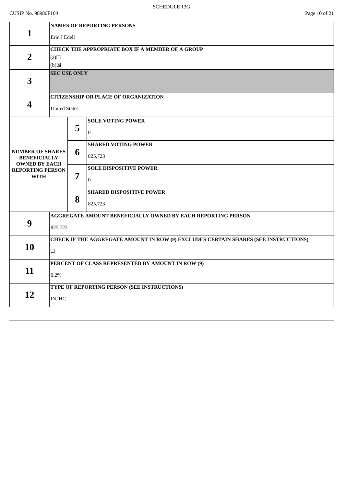|                                                 | <b>NAMES OF REPORTING PERSONS</b>                                                   |                                                              |                                             |  |  |  |  |
|-------------------------------------------------|-------------------------------------------------------------------------------------|--------------------------------------------------------------|---------------------------------------------|--|--|--|--|
| $\mathbf{1}$                                    | Eric J Edell                                                                        |                                                              |                                             |  |  |  |  |
|                                                 |                                                                                     |                                                              |                                             |  |  |  |  |
| $\overline{2}$                                  | (a)                                                                                 | <b>CHECK THE APPROPRIATE BOX IF A MEMBER OF A GROUP</b>      |                                             |  |  |  |  |
|                                                 | (b)                                                                                 |                                                              |                                             |  |  |  |  |
|                                                 | <b>SEC USE ONLY</b>                                                                 |                                                              |                                             |  |  |  |  |
| 3                                               |                                                                                     |                                                              |                                             |  |  |  |  |
|                                                 |                                                                                     |                                                              |                                             |  |  |  |  |
|                                                 |                                                                                     |                                                              | <b>CITIZENSHIP OR PLACE OF ORGANIZATION</b> |  |  |  |  |
| 4                                               | <b>United States</b>                                                                |                                                              |                                             |  |  |  |  |
|                                                 |                                                                                     |                                                              | <b>SOLE VOTING POWER</b>                    |  |  |  |  |
|                                                 |                                                                                     | 5                                                            | $\mathbf{0}$                                |  |  |  |  |
|                                                 |                                                                                     |                                                              |                                             |  |  |  |  |
|                                                 |                                                                                     |                                                              | <b>SHARED VOTING POWER</b>                  |  |  |  |  |
| <b>NUMBER OF SHARES</b><br><b>BENEFICIALLY</b>  |                                                                                     | 6                                                            | 825,723                                     |  |  |  |  |
| <b>OWNED BY EACH</b><br><b>REPORTING PERSON</b> |                                                                                     |                                                              | <b>SOLE DISPOSITIVE POWER</b>               |  |  |  |  |
| <b>WITH</b>                                     |                                                                                     | 7                                                            | $\Omega$                                    |  |  |  |  |
|                                                 |                                                                                     |                                                              | <b>SHARED DISPOSITIVE POWER</b>             |  |  |  |  |
|                                                 |                                                                                     | 8                                                            |                                             |  |  |  |  |
|                                                 |                                                                                     |                                                              | 825,723                                     |  |  |  |  |
|                                                 |                                                                                     | AGGREGATE AMOUNT BENEFICIALLY OWNED BY EACH REPORTING PERSON |                                             |  |  |  |  |
| 9                                               | 825,723                                                                             |                                                              |                                             |  |  |  |  |
|                                                 | CHECK IF THE AGGREGATE AMOUNT IN ROW (9) EXCLUDES CERTAIN SHARES (SEE INSTRUCTIONS) |                                                              |                                             |  |  |  |  |
| 10                                              |                                                                                     |                                                              |                                             |  |  |  |  |
|                                                 | $\Box$                                                                              |                                                              |                                             |  |  |  |  |
|                                                 |                                                                                     | PERCENT OF CLASS REPRESENTED BY AMOUNT IN ROW (9)            |                                             |  |  |  |  |
| 11                                              | 0.2%                                                                                |                                                              |                                             |  |  |  |  |
|                                                 |                                                                                     |                                                              | TYPE OF REPORTING PERSON (SEE INSTRUCTIONS) |  |  |  |  |
| 12                                              | IN, HC                                                                              |                                                              |                                             |  |  |  |  |
|                                                 |                                                                                     |                                                              |                                             |  |  |  |  |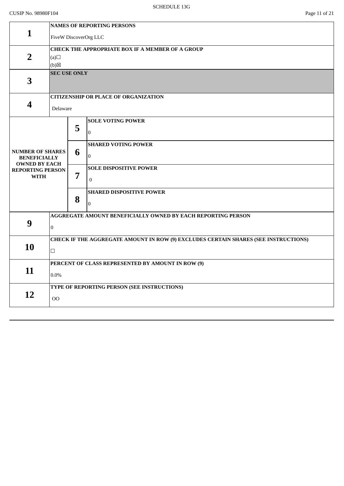## CUSIP No. 98980F104 Page 11 of 21

|                                             | <b>NAMES OF REPORTING PERSONS</b>                 |                                                                                     |                                                              |  |  |  |  |
|---------------------------------------------|---------------------------------------------------|-------------------------------------------------------------------------------------|--------------------------------------------------------------|--|--|--|--|
| $\mathbf{1}$                                | FiveW DiscoverOrg LLC                             |                                                                                     |                                                              |  |  |  |  |
|                                             | CHECK THE APPROPRIATE BOX IF A MEMBER OF A GROUP  |                                                                                     |                                                              |  |  |  |  |
| $\overline{2}$                              | (a)                                               |                                                                                     |                                                              |  |  |  |  |
|                                             | $(b)$ $\boxtimes$                                 |                                                                                     |                                                              |  |  |  |  |
|                                             | <b>SEC USE ONLY</b>                               |                                                                                     |                                                              |  |  |  |  |
| 3                                           |                                                   |                                                                                     |                                                              |  |  |  |  |
|                                             |                                                   |                                                                                     | <b>CITIZENSHIP OR PLACE OF ORGANIZATION</b>                  |  |  |  |  |
| $\overline{\mathbf{4}}$                     | Delaware                                          |                                                                                     |                                                              |  |  |  |  |
|                                             |                                                   |                                                                                     | <b>SOLE VOTING POWER</b>                                     |  |  |  |  |
|                                             |                                                   | 5                                                                                   |                                                              |  |  |  |  |
|                                             |                                                   |                                                                                     | $\mathbf{0}$                                                 |  |  |  |  |
|                                             |                                                   |                                                                                     | <b>SHARED VOTING POWER</b>                                   |  |  |  |  |
| <b>NUMBER OF SHARES</b>                     |                                                   | 6                                                                                   |                                                              |  |  |  |  |
| <b>BENEFICIALLY</b><br><b>OWNED BY EACH</b> |                                                   |                                                                                     | $\boldsymbol{0}$                                             |  |  |  |  |
| <b>REPORTING PERSON</b>                     |                                                   |                                                                                     | <b>SOLE DISPOSITIVE POWER</b>                                |  |  |  |  |
| <b>WITH</b>                                 |                                                   | 7                                                                                   | $\boldsymbol{0}$                                             |  |  |  |  |
|                                             |                                                   |                                                                                     | <b>SHARED DISPOSITIVE POWER</b>                              |  |  |  |  |
|                                             |                                                   | 8                                                                                   |                                                              |  |  |  |  |
|                                             |                                                   |                                                                                     | $\mathbf 0$                                                  |  |  |  |  |
|                                             |                                                   |                                                                                     | AGGREGATE AMOUNT BENEFICIALLY OWNED BY EACH REPORTING PERSON |  |  |  |  |
| 9                                           | $\overline{0}$                                    |                                                                                     |                                                              |  |  |  |  |
|                                             |                                                   | CHECK IF THE AGGREGATE AMOUNT IN ROW (9) EXCLUDES CERTAIN SHARES (SEE INSTRUCTIONS) |                                                              |  |  |  |  |
| 10                                          |                                                   |                                                                                     |                                                              |  |  |  |  |
|                                             | $\Box$                                            |                                                                                     |                                                              |  |  |  |  |
|                                             | PERCENT OF CLASS REPRESENTED BY AMOUNT IN ROW (9) |                                                                                     |                                                              |  |  |  |  |
| 11                                          | 0.0%                                              |                                                                                     |                                                              |  |  |  |  |
|                                             |                                                   |                                                                                     | TYPE OF REPORTING PERSON (SEE INSTRUCTIONS)                  |  |  |  |  |
| 12                                          |                                                   |                                                                                     |                                                              |  |  |  |  |
|                                             | 00                                                |                                                                                     |                                                              |  |  |  |  |
|                                             |                                                   |                                                                                     |                                                              |  |  |  |  |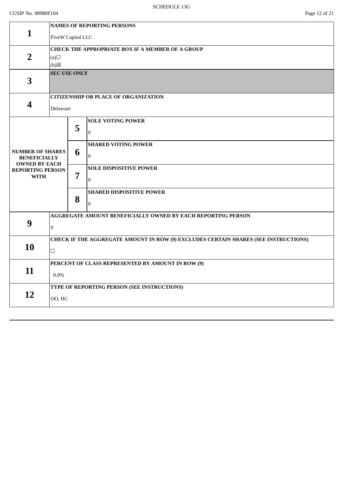## CUSIP No. 98980F104 Page 12 of 21

|                                                 | <b>NAMES OF REPORTING PERSONS</b>                                                   |                                                  |                                                              |  |  |  |  |
|-------------------------------------------------|-------------------------------------------------------------------------------------|--------------------------------------------------|--------------------------------------------------------------|--|--|--|--|
| $\mathbf{1}$                                    | FiveW Capital LLC                                                                   |                                                  |                                                              |  |  |  |  |
|                                                 |                                                                                     | CHECK THE APPROPRIATE BOX IF A MEMBER OF A GROUP |                                                              |  |  |  |  |
| $\overline{2}$                                  | (a)                                                                                 |                                                  |                                                              |  |  |  |  |
|                                                 | (b)                                                                                 |                                                  |                                                              |  |  |  |  |
|                                                 |                                                                                     | <b>SEC USE ONLY</b>                              |                                                              |  |  |  |  |
| 3                                               |                                                                                     |                                                  |                                                              |  |  |  |  |
|                                                 |                                                                                     |                                                  |                                                              |  |  |  |  |
|                                                 |                                                                                     |                                                  | <b>CITIZENSHIP OR PLACE OF ORGANIZATION</b>                  |  |  |  |  |
| 4                                               | Delaware                                                                            |                                                  |                                                              |  |  |  |  |
|                                                 |                                                                                     |                                                  | <b>SOLE VOTING POWER</b>                                     |  |  |  |  |
|                                                 |                                                                                     | 5                                                | $\Omega$                                                     |  |  |  |  |
|                                                 |                                                                                     |                                                  |                                                              |  |  |  |  |
| <b>NUMBER OF SHARES</b>                         |                                                                                     | 6                                                | <b>SHARED VOTING POWER</b>                                   |  |  |  |  |
| <b>BENEFICIALLY</b>                             |                                                                                     |                                                  | $\boldsymbol{0}$                                             |  |  |  |  |
| <b>OWNED BY EACH</b><br><b>REPORTING PERSON</b> |                                                                                     |                                                  | <b>SOLE DISPOSITIVE POWER</b>                                |  |  |  |  |
| <b>WITH</b>                                     |                                                                                     | $\overline{7}$                                   | $\mathbf{0}$                                                 |  |  |  |  |
|                                                 |                                                                                     |                                                  |                                                              |  |  |  |  |
|                                                 |                                                                                     | 8                                                | <b>SHARED DISPOSITIVE POWER</b>                              |  |  |  |  |
|                                                 |                                                                                     |                                                  | $\overline{0}$                                               |  |  |  |  |
|                                                 |                                                                                     |                                                  | AGGREGATE AMOUNT BENEFICIALLY OWNED BY EACH REPORTING PERSON |  |  |  |  |
| 9                                               | $\overline{0}$                                                                      |                                                  |                                                              |  |  |  |  |
|                                                 |                                                                                     |                                                  |                                                              |  |  |  |  |
| 10                                              | CHECK IF THE AGGREGATE AMOUNT IN ROW (9) EXCLUDES CERTAIN SHARES (SEE INSTRUCTIONS) |                                                  |                                                              |  |  |  |  |
|                                                 | $\Box$                                                                              |                                                  |                                                              |  |  |  |  |
|                                                 | PERCENT OF CLASS REPRESENTED BY AMOUNT IN ROW (9)                                   |                                                  |                                                              |  |  |  |  |
| 11                                              | $0.0\%$                                                                             |                                                  |                                                              |  |  |  |  |
|                                                 |                                                                                     |                                                  | TYPE OF REPORTING PERSON (SEE INSTRUCTIONS)                  |  |  |  |  |
| 12                                              |                                                                                     |                                                  |                                                              |  |  |  |  |
|                                                 | 00, HC                                                                              |                                                  |                                                              |  |  |  |  |
|                                                 |                                                                                     |                                                  |                                                              |  |  |  |  |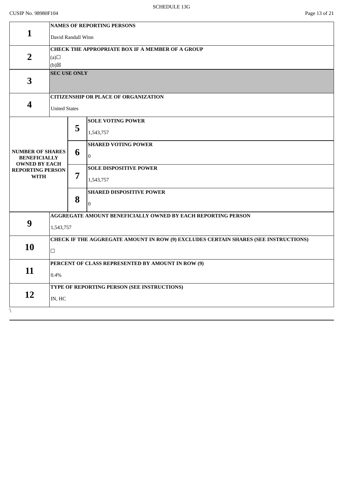|                                                                        | <b>NAMES OF REPORTING PERSONS</b>                                                   |     |                                                   |  |  |  |  |
|------------------------------------------------------------------------|-------------------------------------------------------------------------------------|-----|---------------------------------------------------|--|--|--|--|
| 1                                                                      | David Randall Winn                                                                  |     |                                                   |  |  |  |  |
|                                                                        | <b>CHECK THE APPROPRIATE BOX IF A MEMBER OF A GROUP</b>                             |     |                                                   |  |  |  |  |
| $\overline{2}$                                                         | (a)                                                                                 |     |                                                   |  |  |  |  |
|                                                                        |                                                                                     | (b) |                                                   |  |  |  |  |
| $\overline{\mathbf{3}}$                                                | <b>SEC USE ONLY</b>                                                                 |     |                                                   |  |  |  |  |
|                                                                        |                                                                                     |     | <b>CITIZENSHIP OR PLACE OF ORGANIZATION</b>       |  |  |  |  |
| $\overline{\mathbf{4}}$                                                | <b>United States</b>                                                                |     |                                                   |  |  |  |  |
|                                                                        |                                                                                     |     | <b>SOLE VOTING POWER</b>                          |  |  |  |  |
|                                                                        |                                                                                     | 5   | 1,543,757                                         |  |  |  |  |
|                                                                        |                                                                                     |     | <b>SHARED VOTING POWER</b>                        |  |  |  |  |
| <b>NUMBER OF SHARES</b><br><b>BENEFICIALLY</b><br><b>OWNED BY EACH</b> |                                                                                     | 6   | $\overline{0}$                                    |  |  |  |  |
| <b>REPORTING PERSON</b>                                                |                                                                                     |     | <b>SOLE DISPOSITIVE POWER</b>                     |  |  |  |  |
| <b>WITH</b>                                                            |                                                                                     | 7   | 1,543,757                                         |  |  |  |  |
|                                                                        |                                                                                     |     | <b>SHARED DISPOSITIVE POWER</b>                   |  |  |  |  |
|                                                                        |                                                                                     | 8   | $\mathbf{0}$                                      |  |  |  |  |
|                                                                        | AGGREGATE AMOUNT BENEFICIALLY OWNED BY EACH REPORTING PERSON                        |     |                                                   |  |  |  |  |
| 9                                                                      | 1,543,757                                                                           |     |                                                   |  |  |  |  |
|                                                                        | CHECK IF THE AGGREGATE AMOUNT IN ROW (9) EXCLUDES CERTAIN SHARES (SEE INSTRUCTIONS) |     |                                                   |  |  |  |  |
| 10                                                                     | $\Box$                                                                              |     |                                                   |  |  |  |  |
|                                                                        |                                                                                     |     | PERCENT OF CLASS REPRESENTED BY AMOUNT IN ROW (9) |  |  |  |  |
| 11                                                                     | 0.4%                                                                                |     |                                                   |  |  |  |  |
|                                                                        |                                                                                     |     | TYPE OF REPORTING PERSON (SEE INSTRUCTIONS)       |  |  |  |  |
| 12                                                                     | IN, HC                                                                              |     |                                                   |  |  |  |  |
|                                                                        |                                                                                     |     |                                                   |  |  |  |  |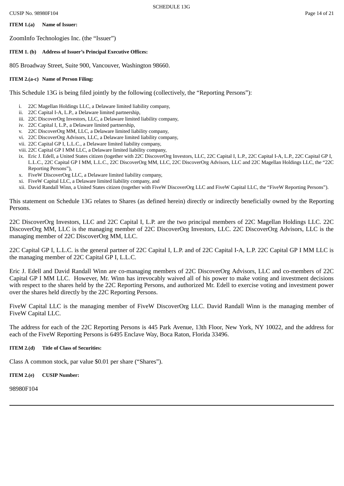## **ITEM 1.(a) Name of Issuer:**

ZoomInfo Technologies Inc. (the "Issuer")

## **ITEM 1. (b) Address of Issuer's Principal Executive Offices:**

805 Broadway Street, Suite 900, Vancouver, Washington 98660.

## **ITEM 2.(a-c) Name of Person Filing:**

This Schedule 13G is being filed jointly by the following (collectively, the "Reporting Persons"):

- i. 22C Magellan Holdings LLC, a Delaware limited liability company,
- ii. 22C Capital I-A, L.P., a Delaware limited partnership,
- iii. 22C DiscoverOrg Investors, LLC, a Delaware limited liability company,
- iv. 22C Capital I, L.P., a Delaware limited partnership,
- v. 22C DiscoverOrg MM, LLC, a Delaware limited liability company,
- vi. 22C DiscoverOrg Advisors, LLC, a Delaware limited liability company,
- vii. 22C Capital GP I, L.L.C., a Delaware limited liability company,
- viii. 22C Capital GP I MM LLC, a Delaware limited liability company,
- ix. Eric J. Edell, a United States citizen (together with 22C DiscoverOrg Investors, LLC, 22C Capital I, L.P., 22C Capital I-A, L.P., 22C Capital GP I, L.L.C., 22C Capital GP I MM, L.L.C., 22C DiscoverOrg MM, LLC, 22C DiscoverOrg Advisors, LLC and 22C Magellan Holdings LLC, the "22C Reporting Persons"),
- x. FiveW DiscoverOrg LLC, a Delaware limited liability company,
- xi. FiveW Capital LLC, a Delaware limited liability company, and
- xii. David Randall Winn, a United States citizen (together with FiveW DiscoverOrg LLC and FiveW Capital LLC, the "FiveW Reporting Persons").

This statement on Schedule 13G relates to Shares (as defined herein) directly or indirectly beneficially owned by the Reporting Persons.

22C DiscoverOrg Investors, LLC and 22C Capital I, L.P. are the two principal members of 22C Magellan Holdings LLC. 22C DiscoverOrg MM, LLC is the managing member of 22C DiscoverOrg Investors, LLC. 22C DiscoverOrg Advisors, LLC is the managing member of 22C DiscoverOrg MM, LLC.

22C Capital GP I, L.L.C. is the general partner of 22C Capital I, L.P. and of 22C Capital I-A, L.P. 22C Capital GP I MM LLC is the managing member of 22C Capital GP I, L.L.C.

Eric J. Edell and David Randall Winn are co-managing members of 22C DiscoverOrg Advisors, LLC and co-members of 22C Capital GP I MM LLC. However, Mr. Winn has irrevocably waived all of his power to make voting and investment decisions with respect to the shares held by the 22C Reporting Persons, and authorized Mr. Edell to exercise voting and investment power over the shares held directly by the 22C Reporting Persons.

FiveW Capital LLC is the managing member of FiveW DiscoverOrg LLC. David Randall Winn is the managing member of FiveW Capital LLC.

The address for each of the 22C Reporting Persons is 445 Park Avenue, 13th Floor, New York, NY 10022, and the address for each of the FiveW Reporting Persons is 6495 Enclave Way, Boca Raton, Florida 33496.

## **ITEM 2.(d) Title of Class of Securities:**

Class A common stock, par value \$0.01 per share ("Shares").

**ITEM 2.(e) CUSIP Number:**

98980F104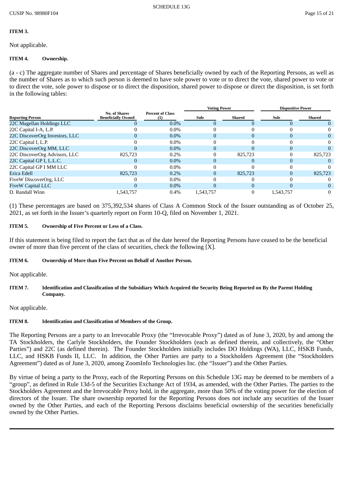#### **ITEM 3.**

Not applicable.

#### **ITEM 4. Ownership.**

(a - c) The aggregate number of Shares and percentage of Shares beneficially owned by each of the Reporting Persons, as well as the number of Shares as to which such person is deemed to have sole power to vote or to direct the vote, shared power to vote or to direct the vote, sole power to dispose or to direct the disposition, shared power to dispose or direct the disposition, is set forth in the following tables:

|                                | <b>No. of Shares</b><br><b>Beneficially Owned</b> | <b>Percent of Class</b> | <b>Voting Power</b> |          | <b>Dispositive Power</b> |         |
|--------------------------------|---------------------------------------------------|-------------------------|---------------------|----------|--------------------------|---------|
| <b>Reporting Person</b>        |                                                   |                         | Sole                | Shared   | Sole                     | Shared  |
| 22C Magellan Holdings LLC      |                                                   | $0.0\%$                 | $\Omega$            |          |                          |         |
| 22C Capital I-A, L.P.          |                                                   | $0.0\%$                 |                     |          |                          |         |
| 22C DiscoverOrg Investors, LLC |                                                   | $0.0\%$                 |                     |          |                          |         |
| 22C Capital I, L.P.            |                                                   | $0.0\%$                 | 0                   |          |                          | 0       |
| 22C DiscoverOrg MM, LLC        |                                                   | $0.0\%$                 | 0                   |          |                          |         |
| 22C DiscoverOrg Advisors, LLC  | 825,723                                           | 0.2%                    |                     | 825,723  |                          | 825,723 |
| 22C Capital GP I, L.L.C.       |                                                   | $0.0\%$                 | $\Omega$            |          |                          |         |
| 22C Capital GP I MM LLC        |                                                   | $0.0\%$                 |                     |          |                          |         |
| Erica Edell                    | 825,723                                           | $0.2\%$                 | 0                   | 825,723  |                          | 825,723 |
| FiveW DiscoverOrg, LLC         |                                                   | $0.0\%$                 |                     |          |                          |         |
| <b>FiveW Capital LLC</b>       |                                                   | $0.0\%$                 | 0                   | $\Omega$ |                          |         |
| D. Randall Winn                | 1,543,757                                         | 0.4%                    | 1.543.757           |          | 1,543,757                | 0       |

(1) These percentages are based on 375,392,534 shares of Class A Common Stock of the Issuer outstanding as of October 25, 2021, as set forth in the Issuer's quarterly report on Form 10-Q, filed on November 1, 2021.

#### **ITEM 5. Ownership of Five Percent or Less of a Class.**

If this statement is being filed to report the fact that as of the date hereof the Reporting Persons have ceased to be the beneficial owner of more than five percent of the class of securities, check the following [X].

#### **ITEM 6. Ownership of More than Five Percent on Behalf of Another Person.**

Not applicable.

#### ITEM 7. Identification and Classification of the Subsidiary Which Acquired the Security Being Reported on By the Parent Holding **Company.**

Not applicable.

## **ITEM 8. Identification and Classification of Members of the Group.**

The Reporting Persons are a party to an Irrevocable Proxy (the "Irrevocable Proxy") dated as of June 3, 2020, by and among the TA Stockholders, the Carlyle Stockholders, the Founder Stockholders (each as defined therein, and collectively, the "Other Parties") and 22C (as defined therein). The Founder Stockholders initially includes DO Holdings (WA), LLC, HSKB Funds, LLC, and HSKB Funds II, LLC. In addition, the Other Parties are party to a Stockholders Agreement (the "Stockholders Agreement") dated as of June 3, 2020, among ZoomInfo Technologies Inc. (the "Issuer") and the Other Parties.

By virtue of being a party to the Proxy, each of the Reporting Persons on this Schedule 13G may be deemed to be members of a "group", as defined in Rule 13d-5 of the Securities Exchange Act of 1934, as amended, with the Other Parties. The parties to the Stockholders Agreement and the Irrevocable Proxy hold, in the aggregate, more than 50% of the voting power for the election of directors of the Issuer. The share ownership reported for the Reporting Persons does not include any securities of the Issuer owned by the Other Parties, and each of the Reporting Persons disclaims beneficial ownership of the securities beneficially owned by the Other Parties.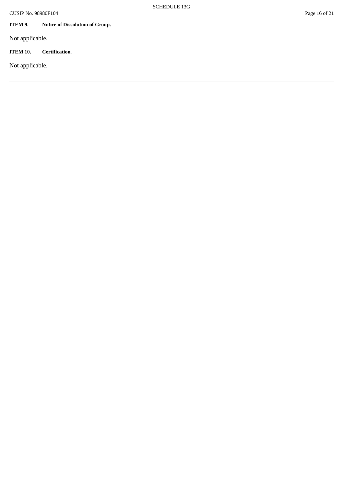## **ITEM 9. Notice of Dissolution of Group.**

Not applicable.

## **ITEM 10. Certification.**

Not applicable.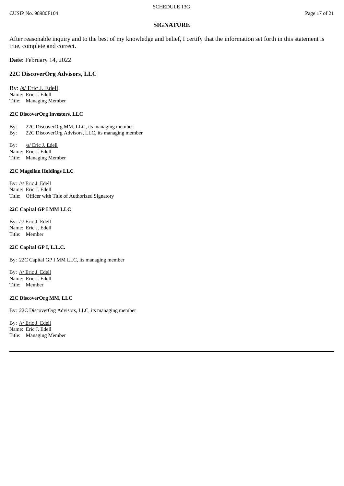#### **SIGNATURE**

After reasonable inquiry and to the best of my knowledge and belief, I certify that the information set forth in this statement is true, complete and correct.

**Date**: February 14, 2022

#### **22C DiscoverOrg Advisors, LLC**

By: /s/ Eric J. Edell Name: Eric J. Edell Title: Managing Member

#### **22C DiscoverOrg Investors, LLC**

By: 22C DiscoverOrg MM, LLC, its managing member By: 22C DiscoverOrg Advisors, LLC, its managing member

By: /s/ Eric J. Edell Name: Eric J. Edell Title: Managing Member

#### **22C Magellan Holdings LLC**

By: /s/ Eric J. Edell Name: Eric J. Edell Title: Officer with Title of Authorized Signatory

#### **22C Capital GP I MM LLC**

By: /s/ Eric J. Edell Name: Eric J. Edell Title: Member

#### **22C Capital GP I, L.L.C.**

By: 22C Capital GP I MM LLC, its managing member

By: /s/ Eric J. Edell Name: Eric J. Edell Title: Member

#### **22C DiscoverOrg MM, LLC**

By: 22C DiscoverOrg Advisors, LLC, its managing member

By: /s/ Eric J. Edell Name: Eric J. Edell Title: Managing Member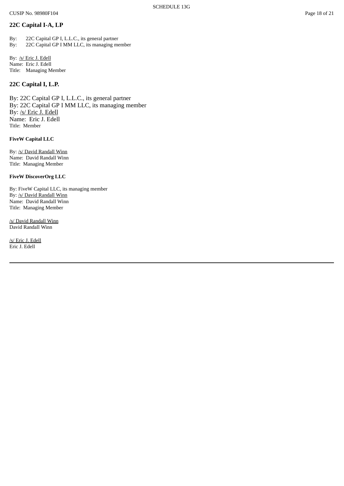## **22C Capital I-A, LP**

By: 22C Capital GP I, L.L.C., its general partner By: 22C Capital GP I MM LLC, its managing member

By: /s/ Eric J. Edell Name: Eric J. Edell Title: Managing Member

## **22C Capital I, L.P.**

By: 22C Capital GP I, L.L.C., its general partner By: 22C Capital GP I MM LLC, its managing member By: /s/ Eric J. Edell Name: Eric J. Edell Title: Member

#### **FiveW Capital LLC**

By: /s/ David Randall Winn Name: David Randall Winn Title: Managing Member

#### **FiveW DiscoverOrg LLC**

By: FiveW Capital LLC, its managing member By: /s/ David Randall Winn Name: David Randall Winn Title: Managing Member

/s/ David Randall Winn David Randall Winn

/s/ Eric J. Edell Eric J. Edell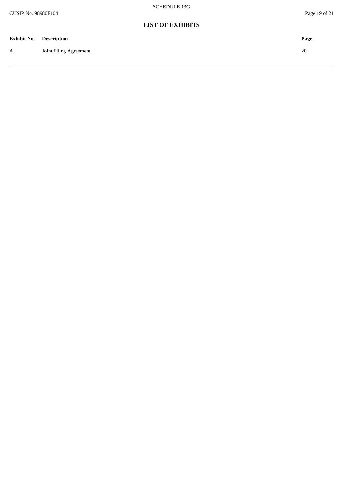## **LIST OF EXHIBITS**

| <b>Exhibit No. Description</b> |                         | Page |
|--------------------------------|-------------------------|------|
| $\boldsymbol{A}$               | Joint Filing Agreement. | 20   |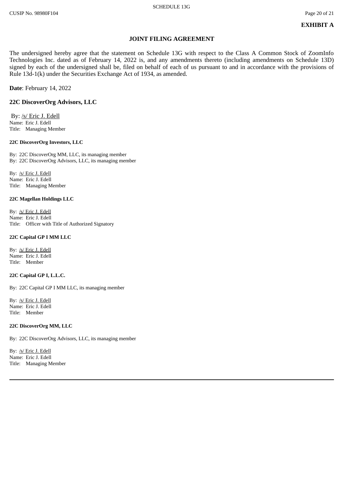### **JOINT FILING AGREEMENT**

The undersigned hereby agree that the statement on Schedule 13G with respect to the Class A Common Stock of ZoomInfo Technologies Inc. dated as of February 14, 2022 is, and any amendments thereto (including amendments on Schedule 13D) signed by each of the undersigned shall be, filed on behalf of each of us pursuant to and in accordance with the provisions of Rule 13d-1(k) under the Securities Exchange Act of 1934, as amended.

**Date**: February 14, 2022

#### **22C DiscoverOrg Advisors, LLC**

 By: /s/ Eric J. Edell Name: Eric J. Edell Title: Managing Member

#### **22C DiscoverOrg Investors, LLC**

By: 22C DiscoverOrg MM, LLC, its managing member By: 22C DiscoverOrg Advisors, LLC, its managing member

By: /s/ Eric J. Edell Name: Eric J. Edell Title: Managing Member

#### **22C Magellan Holdings LLC**

By: /s/ Eric J. Edell Name: Eric J. Edell Title: Officer with Title of Authorized Signatory

#### **22C Capital GP I MM LLC**

By: /s/ Eric J. Edell Name: Eric J. Edell Title: Member

#### **22C Capital GP I, L.L.C.**

By: 22C Capital GP I MM LLC, its managing member

By: /s/ Eric J. Edell Name: Eric J. Edell Title: Member

#### **22C DiscoverOrg MM, LLC**

By: 22C DiscoverOrg Advisors, LLC, its managing member

By: /s/ Eric J. Edell Name: Eric J. Edell Title: Managing Member